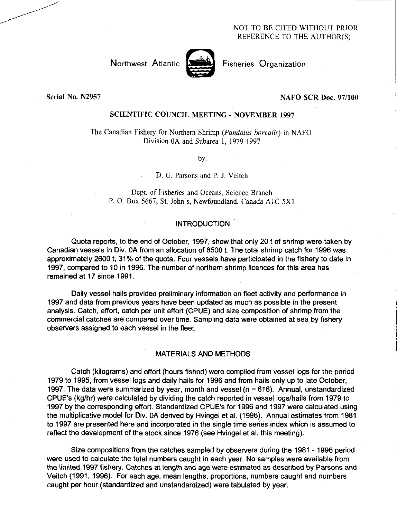## NOT TO BE CITED WITHOUT PRIOR REFERENCE TO THE AUTHOR(S)

Northwest Atlantic **Notation** Fisheries Organization

## Serial No. N2957 NAFO SCR Doc. 97/100

## SCIENTIFIC COUNCIL MEETING - NOVEMBER 1997

The Canadian Fishery for Northern Shrimp *(Pandalus borealis)* in NAFO Division OA and Subarea 1, 1979-1997

by*.* 

D. G. Parsons and P. J. Veitch

Dept. of Fisheries and Oceans, Science Branch P. 0. Box 5667, St. John's, Newfoundland, Canada A1C 5X1

## **INTRODUCTION**

Quota reports, to the end of October, 1997, show that only 20 t of shrimp were taken by Canadian vessels in Div. OA from an allocation of 8500 t. The total shrimp catch for 1996 was approximately 2600 t, 31% of the quota. Four vessels have participated in the fishery to date in 1997, compared to 10 in 1996. The number of northern shrimp licences for this area has remained at 17 since 1991.

Daily vessel hails provided preliminary information on fleet activity and performance in 1997 and data from previous years have been updated as much as possible in the present analysis. Catch, effort, catch per unit effort (CPUE) and size composition of shrimp from the commercial catches are compared over time. Sampling data were obtained at sea by fishery observers assigned to each vessel in the fleet.

## MATERIALS AND METHODS

Catch (kilograms) and effort (hours fished) were compiled from vessel logs for the period 1979 to 1995, from vessel logs and daily hails for 1996 and from hails only up to late October, 1997. The data were summarized by year, month and vessel (n = 616). Annual, unstandardized CPUE's (kg/hr) were calculated by dividing the catch reported in vessel logs/hails from 1979 to 1997 by the corresponding effort. Standardized CPUE's for 1996 and 1997 were calculated using the multiplicative model for Div. OA derived by Hvingel et al. (1996). Annual estimates from 1981 to 1997 are presented here and incorporated in the single time series index which is assumed to reflect the development of the stock since 1976 (see Hvingel et al. this meeting).

Size compositions from the catches sampled by observers during the 1981 - 1996 period were used to calculate the total numbers caught in each year. No samples were available from the limited 1997 fishery. Catches at length and age were estimated as described by Parsons and Veitch (1991, 1996). For each age, mean lengths, proportions, numbers caught and numbers caught per hour (standardized and unstandardized) were tabulated by year.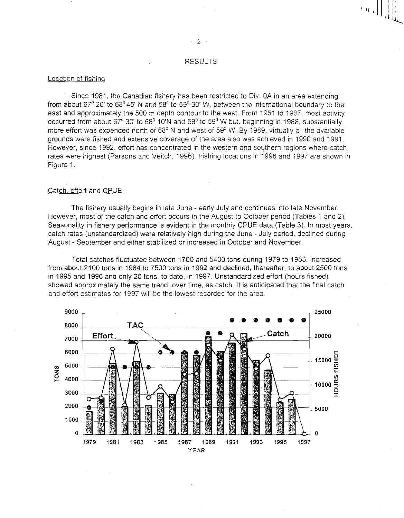#### Location of fishing

• Since 1981, the Canadian fishery has been restricted to Div. OA in an area extending from about 67°20' to 68°45' N and 58°to 59°30' *W,* between the international boundary to the east and approximately the 500 m depth contour to the west. From 1981 to 1987, most activity occurred from about 67°30' to 68°10'N and 58°to 59°W but, beginning in 1988, substantially more effort was expended north of  $68^{\circ}$  N and west of  $59^{\circ}$  W. By 1989, virtually all the available grounds were fished and extensive coverage of the area also was achieved in 1990 and 1991. However, since 1992, effort has concentrated in the western and southern regions where catch rates were highest (Parsons and Veitch, 1996). Fishing locations in 1996 and 1997 are shown in Figure 1.

#### Catch. effort and CPUE

The fishery usually begins in late June - early July and continues into late November. However, most of the catch and effort occurs in the August to October period (Tables 1 and 2). Seasonality in fishery performance is evident in the monthly CPUE data (Table 3). In most years, catch rates (unstandardized) were relatively high during the June - July period, declined during August - September and either stabilized or increased in October and November.

Total catches fluctuated between 1700 and 5400 tons during 1979 to 1983, increased from about 2100 tons in 1984 to 7500 tons in 1992 and declined, thereafter, to about 2500 tons in 1995 and 1996 and only 20 tons, to date, in 1997. Unstandardized effort (hours fished) showed approximately the same trend, over time, as catch. It is anticipated that the final catch and effort estimates for 1997 will be the lowest recorded for the area



en l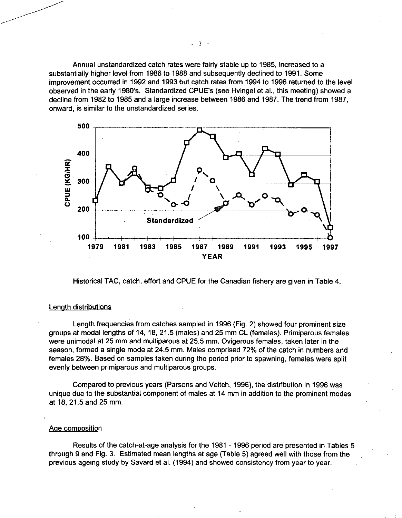Annual unstandardized catch rates were fairly stable up to 1985, increased to a substantially higher level from 1986 to 1988 and subsequently declined to 1991. Some improvement occurred in 1992 and 1993 but catch rates from 1994 to 1996 returned to the level observed in the early 1980's. Standardized CPUE's (see Hvingel et al., this meeting) showed a decline from 1982 to 1985 and a large increase between 1986 and 1987. The trend from 1987, onward, is similar to the unstandardized series.



Historical TAC, catch, effort and CPUE for the Canadian fishery are given in Table 4.

## Length distributions

Length frequencies from catches sampled in 1996 (Fig. 2) showed four prominent size groups at modal lengths of 14, 18, 21.5 (males) and 25 mm CL (females). Primiparous females were unimodal at 25 mm and multiparous at 25.5 mm. Ovigerous females, taken later in the season, formed a single mode at 24.5 mm. Males comprised 72% of the catch in numbers and females 28%. Based on samples taken during the period prior to spawning, females were split evenly between primiparous and multiparous groups.

Compared to previous years (Parsons and Veitch, 1996), the distribution in 1996 was unique due to the substantial component of males at 14 mm in addition to the prominent modes at 18, 21.5 and 25 mm.

#### Age composition

Results of the catch-at-age analysis for the 1981 - 1996 period are presented in Tables 5 through 9 and Fig. 3. Estimated mean lengths at age (Table 5) agreed well with those from the previous ageing study by Savard et al. (1994) and showed consistency from year to year.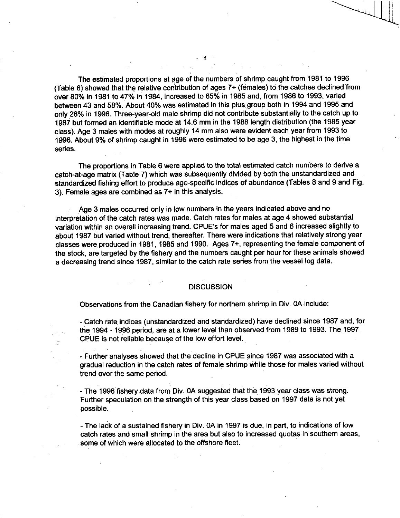The estimated proportions at age of the numbers of shrimp caught from 1981 to 1996 (Table 6) showed that the relative contribution of ages 7+ (females) to the catches declined from over 80% in 1981 to 47% in 1984, increased to 65% in 1985 and, from 1986 to 1993, varied between 43 and 58%. About 40% was estimated in this plus group both in 1994 and 1995 and only 28% in 1996. Three-year-old male shrimp did not contribute substantially to the catch up to 1987 but formed an identifiable mode at 14.6 mm in the 1988 length distribution (the 1985 year class). Age 3 males with modes at roughly 14 mm also were evident each year from 1993 to 1996. About 9% of shrimp caught in 1996 were estimated to be age 3, the highest in the time series.

- 4

The proportions in Table 6 were applied to the total estimated catch numbers to derive a catch-at-age matrix (Table 7) which was subsequently divided by both the unstandardized and standardized fishing effort to produce age-specific indices of abundance (Tables 8 and 9 and Fig. 3). Female ages are combined as 7+ in this analysis.

Age 3 males occurred only in low numbers in the years indicated above and no interpretation of the catch rates was made. Catch rates for males at age 4 showed substantial variation within an overall increasing trend. CPUE's for males aged 5 and 6 increased slightly to about 1987 but varied without trend, thereafter. There were indications that relatively strong year classes were produced in 1981, 1985 and 1990. Ages 7+, representing the female component of the stock, are targeted by the fishery and the numbers caught per hour for these animals showed a decreasing trend since 1987, similar to the catch rate series from the vessel log data.

## **DISCUSSION**

Observations from the Canadian fishery for northern shrimp in Div. OA include:

- Catch rate, indices (unstandardized and standardized) have declined since 1987 and, for the 1994 - 1996 period, are at a lower level than observed from 1989 to 1993. The 1997 CPUE is not reliable because of the low effort level.

- Further analyses showed that the decline in CPUE since 1987 was associated with a gradual reduction in the catch rates of female shrimp while those for males varied without trend over the same period.

- The 1996 fishery data from Div. OA suggested that the 1993 year class was strong. Further speculation on the strength of this year class based on 1997 data is not yet possible.

- The lack of a sustained fishery in Div. OA in 1997 is due, in part, to indications of low catch rates and small shrimp in the area but also to increased quotas in southern areas, some of which were allocated to the offshore fleet.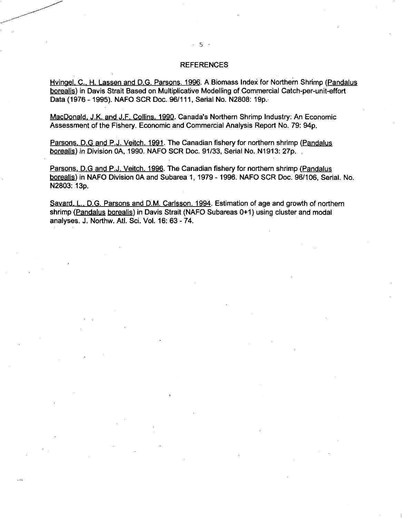## REFERENCES

Hvingel, C., H. Lassen and D.G. Parsons. 1996. A Biomass Index for Northern Shrimp (Pandalus borealis) in Davis Strait Based on Multiplicative Modelling of Commercial Catch-per-unit-effort Data (1976 - 1995). NAFO SCR Doc. 96/111, Serial No. N2808: 19p.

MacDonald, J.K. and J.F. Collins. 1990. Canada's Northern Shrimp Industry: An Economic Assessment of the Fishery. Economic and Commercial Analysis Report No. 79: 94p.

Parsons, D.G and P.J. Veitch. 1991. The Canadian fishery for northern shrimp (Pandalus borealis) *in* Division OA, 1990. NAFO SCR Doc. 91/33, Serial No. N1913: 27p.

Parsons, D.G and P.J. Veitch. 1996. The Canadian fishery for northern shrimp (Pandalus borealis) in NAFO Division OA and Subarea 1, 1979 - 1996. NAFO SCR Doc. 96/106, Serial. No. N2803: 13p.

Savard, L., D.G. Parsons and D.M. Carlsson. 1994. Estimation of age and growth of northern shrimp (Pandalus borealis) in Davis Strait (NAFO Subareas 0+1) using cluster and modal analyses. J. Northw. Atl. Sci. Vol. 16: 63 - 74.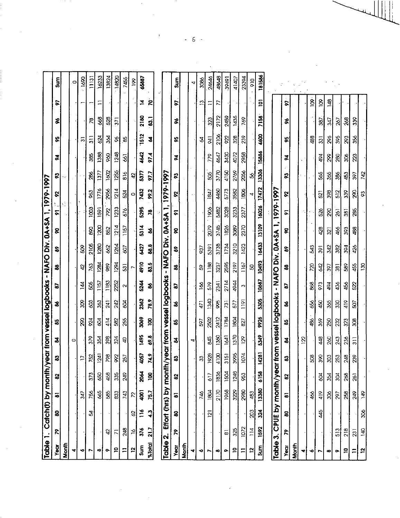|                          |                      |                 | Table 1. Catch(t) by month/year from vessel logbooks - NAFO Div. 0A+SA 1, 1979-1997 |                  |                  |                |                           |                 |                      |                           |                   |                         |                  |                   |                            |                  |                   |                  |                 |                         |
|--------------------------|----------------------|-----------------|-------------------------------------------------------------------------------------|------------------|------------------|----------------|---------------------------|-----------------|----------------------|---------------------------|-------------------|-------------------------|------------------|-------------------|----------------------------|------------------|-------------------|------------------|-----------------|-------------------------|
| <b>Vecir</b>             | ድ                    | 8               | 5                                                                                   | 2                | 3                | 2              | 5                         | 3               | 2                    | 3                         | 8                 | Š                       | 5                | 8                 | S                          | Š                | å,                | ş                | Ļ,              | $\frac{5}{2}$           |
| Month                    |                      |                 |                                                                                     |                  |                  |                |                           |                 |                      |                           |                   |                         |                  |                   |                            |                  |                   |                  |                 |                         |
| 4                        |                      |                 |                                                                                     |                  |                  | $\circ$        |                           |                 |                      |                           |                   |                         |                  |                   |                            |                  |                   |                  |                 | $\bullet$               |
| ۰o                       |                      |                 | 347                                                                                 |                  | F                |                | g                         | Ş               | $\vec{A}$            | $\ddot{a}$                | Ş                 |                         |                  |                   |                            |                  | ឆ                 |                  |                 | $-1690$                 |
|                          |                      | R               | 756                                                                                 | 373              | 752              | 379            | 94                        | \$              | 3                    | $\frac{2}{3}$             | 2105              | 88                      | 1003             | Ş3                | 38                         | 38               | $\frac{1}{3}$     | R,               |                 | 11131                   |
| œ                        |                      |                 | \$                                                                                  | 8 <sup>o</sup>   | 124              | 354            | $\mathfrak{g}$            | 363             | 1157                 | 1284                      | 1280              | $\overline{20}$         | 1591             | 1776              | 1377                       | 1388             | 624               | \$               | $\Xi$           | 16233                   |
| ۰                        | Ą                    |                 | $\frac{3}{2}$                                                                       | 458              | <b>p8</b>        | 398            | 414                       | $\overline{24}$ | 1183                 | 88                        | $\frac{2}{3}$     | 852                     | <b>SS</b>        | 2956              | 1002                       | 8                | Ş                 | 528              |                 | 13824                   |
| $\mathbf{c}$             | $\overline{r}$       |                 | 833                                                                                 | 335              | $\delta$         | 324            | 582                       | 242             | 252                  | 1294                      | 1264              | 1214                    | 1233             | 1214              | 1255                       | 1248             | Ş                 | 371              |                 | 14820                   |
| $\equiv$                 | 248                  |                 | 743                                                                                 | 249              | 257              | $\ddot{a}$     | 255                       | Ř               | $\mathbf{\tilde{c}}$ | $\overline{3}$            | $\tilde{g}$       | 1157                    | $\frac{6}{9}$    | 524               | $\frac{8}{6}$              | $\overline{8}$   | 3                 |                  |                 | 7455                    |
| $\tilde{a}$              | $\tilde{\mathbf{c}}$ | 8               | $\tilde{\mathcal{L}}$                                                               |                  |                  |                |                           |                 |                      |                           |                   |                         |                  | 0                 | đ,                         |                  |                   |                  |                 | $\frac{8}{2}$           |
| $\frac{E}{3}$            | 376                  | $\frac{16}{10}$ | $\overline{a}$                                                                      | <b>2064</b>      | 4057             | 1495           | \$                        | 2362            | 5244                 | 4910                      | <b>27</b>         | $\frac{4}{3}$           | 5295             | 7432              | 5377                       | 4642             | 1512              | 2180             | Ā               | 65887                   |
| $%$ Total                | 21.7                 | $\ddot{a}$      | 75.7                                                                                | ğ                | 74.9             | 69.8           | ğ,                        | 78.9            | 3                    | <b>83.5</b>               | 88.8              | $\bf 3$                 | $\mathbf{r}$     | <b>89.2</b>       | 97.7                       | 97.4             | 2                 | $\overline{3}$   | Š               |                         |
| Table 2.                 |                      |                 | Effort (hrs) by month/year from vessel logbooks                                     |                  |                  |                |                           |                 |                      |                           | - NAFO Div. 0A+SA |                         |                  | 1979-1997         |                            |                  |                   |                  |                 |                         |
| Year                     | $\mathbf{r}$         | 8               | $\overline{\bullet}$                                                                | $\mathbf{S}$     | $\boldsymbol{3}$ | न्न            | S                         | 3               | 5                    | 3                         | S,                | 8                       | 5                | ଟ                 | S,                         | Š                | S.                | ž                | b.              | $\overline{\mathbf{s}}$ |
| <b>Month</b>             |                      |                 |                                                                                     |                  |                  |                |                           |                 |                      |                           |                   |                         |                  |                   |                            |                  |                   |                  |                 |                         |
| ₩                        |                      |                 |                                                                                     |                  |                  | 4              |                           |                 |                      |                           |                   |                         |                  |                   |                            |                  |                   |                  |                 | $\overline{\textbf{v}}$ |
| ⋄                        |                      |                 | $\frac{4}{6}$                                                                       |                  | 33               |                | $\overline{5}$            | 471             | $\frac{8}{2}$        | S,                        | $\overline{55}$   |                         |                  |                   |                            |                  | R                 |                  | $\mathbf{r}$    | 3086                    |
| N                        |                      | $\overline{2}$  | 1804                                                                                | 617              | 1028             | \$             | 2502                      | 1340            | 519                  | 1188                      | 5391              | 2079                    | $-1906$          | 1847              | \$                         | 779              | 541               | 323              | Ξ               | 24646                   |
| œ                        |                      |                 | 2170                                                                                | 1836             | 4100             | 1360           | $\frac{2412}{2}$          | $\frac{85}{2}$  | 2341                 | 3237                      | 3738              | 3745                    | <b>2482</b>      | 4450              | 3770                       | 4647             | $\frac{2106}{21}$ | 2172             | 77              | 48648                   |
| ۰                        | $\overline{8}$       |                 | 1968                                                                                | 1504             | 3151             | $\overline{3}$ | 1784                      | 731             | 2714                 | 2595                      | 1734              | 1826                    | 3028             | 5773              | 4150                       | 3430             | 8                 | 2459             |                 | 39491                   |
| 의                        | 325                  |                 | $\frac{328}{2}$                                                                     | $\frac{1248}{2}$ | 3995             | 1370           | $\frac{180}{1}$           | 57              | 4944                 | 2197                      | 3210              | 3089                    | 3233             | 3582              | 2769                       | 4072             | 228               | 1435             |                 | 41407                   |
| ゠                        | 0/2                  |                 | 2980                                                                                | 953              | 1074             | $\overline{z}$ | $\widetilde{\mathcal{S}}$ | $\frac{1}{2}$   | 3                    | $\overline{167}$          | 1423              | 2370                    | 2377             | $\frac{8}{2}$     | 2056                       | 2958             | 239               | 769              |                 | 23394                   |
| $\mathbf{C}$             | $\frac{1}{4}$        | ସି              | 483                                                                                 |                  |                  |                |                           |                 |                      | 8                         |                   |                         |                  | 4                 | 8                          |                  |                   |                  |                 | $\frac{1}{2}$           |
| <b>Sum</b>               | 1592                 | $\frac{324}{5}$ | 13380                                                                               | 6158             | 14281            | $\frac{1}{3}$  | 9926                      | $\frac{3}{2}$   | 10687                | 10493                     | 1843              | 13109                   | 16026            | 17472             | 13306                      | 15886            | 8                 | 7158             | $\overline{P}$  | 181586                  |
| Table 3.                 |                      |                 | CPUE by month/year from vessel logbooks                                             |                  |                  |                |                           |                 |                      |                           | - NAFO Div. 0A+SA |                         | 1, 1979-1997     |                   |                            |                  |                   |                  |                 |                         |
| Year                     | ዶ                    | 읭               | 5                                                                                   | 2                | ଅ                | ষ্ট            | 2                         | 3               | 57                   | \$                        | e.                | 8                       | 5                | 2                 | $\boldsymbol{\mathcal{C}}$ | ह                | å,                | \$               | e.              |                         |
| Month                    |                      |                 |                                                                                     |                  |                  |                |                           |                 |                      |                           |                   |                         |                  |                   |                            |                  |                   |                  |                 |                         |
|                          |                      |                 |                                                                                     |                  |                  | $\overline{2}$ |                           |                 |                      |                           |                   |                         |                  |                   |                            |                  |                   |                  |                 |                         |
| ۰o                       |                      |                 | $rac{1}{2}$                                                                         |                  | ඝූ               |                | 486                       | š,              | 88                   | <u>ଅ</u>                  | $\mathbf{3}$      |                         |                  |                   |                            |                  | 488               |                  | $\underline{8}$ |                         |
| r                        |                      | 445             | 419                                                                                 | 904              | 390              | 448            | 369                       | 450             | 973                  | ट्र                       | $\overline{3}$    | 428                     | 526              | $\overline{2}$    | \$65                       | 494              | $\overline{3}$    | 387              | $\mathbf{g}$    |                         |
| $\pmb{\infty}$           |                      |                 | 306                                                                                 | 354              | 303              | 260            | 250                       | 365             | 494                  | $\overline{8}$            | $\frac{342}{2}$   | $\overline{\mathbb{Z}}$ | ସ୍ଥ              | $\frac{308}{200}$ | $\frac{35}{2}$             | 8                | $\frac{8}{2}$     | $\overline{247}$ | 148             |                         |
| o.                       | $\frac{13}{2}$       |                 | $\infty$                                                                            | 304              | 253              | 243            | 232                       | 330             | 43 <sub>o</sub>      | $\overline{\mathfrak{s}}$ | $\frac{2}{3}$     | 466                     | $\overline{2}$   | 512               | $\frac{8}{2}$              | 380              | 395               | 267              |                 |                         |
| $\vert \mathbf{a} \vert$ | $\frac{8}{218}$      |                 | 258                                                                                 | 268              | $\frac{248}{3}$  | 236            | 323                       | 419             | 456                  | 589                       | $\frac{32}{3}$    | $\frac{303}{2}$         | $\overline{381}$ | 339               | 453                        | $\frac{8}{2}$    | $\frac{23}{2}$    | $\frac{8}{26}$   |                 |                         |
| $\equiv$                 | $\overline{23}$      |                 | 249                                                                                 | $\overline{20}$  | 239              | $\frac{1}{3}$  | క్షి                      | $\rm S$         | S <sub>2</sub>       | 45                        | 426               | 488                     | 38               | 8g                | $\hat{s}$                  | $\tilde{\alpha}$ | $\frac{8}{2}$     | 339              |                 |                         |

 $\bar{\epsilon}$ 

 $\hat{\mathcal{A}}$ 

 $242$ 

 $\mathbb{S}$ 

 $051$ 

149

 $\frac{3}{5}$ 

 $\overline{8}$ 

 $\overline{5}$ 

 $-6-$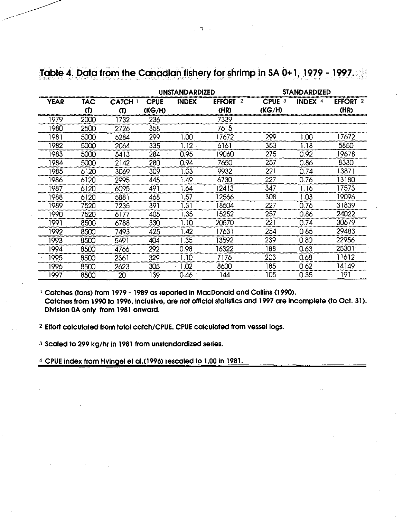|                               |      |                   |                       | <b>IINSTANDARDIZED</b> |                            |                             | <b>STANDARDIZED</b> |                             |
|-------------------------------|------|-------------------|-----------------------|------------------------|----------------------------|-----------------------------|---------------------|-----------------------------|
| YEAR                          | TAC  | <b>CATCH</b><br>M | <b>CPUE</b><br>(KG/H) | <b>INDEX</b>           | <b>EFFORT</b><br>2<br>(HR) | CPUE <sub>3</sub><br>(KG/H) | <b>INDEX 4</b>      | <b>EFFORT</b><br>-2<br>(HR) |
| 100000000000000000000<br>1979 | 2000 | 1732              | 236                   |                        | 7339                       |                             |                     |                             |
| 1980                          | 2500 | 2726              | 358                   |                        | 7615                       |                             |                     |                             |
| 1981                          | 5000 | 5284              | 299                   | 1.00                   | 17672                      | 299                         | 1.00                | 17672                       |
| 1982                          | 5000 | 2064              | 335                   | 1.12                   | 6161                       | 353                         | 1.18                | 5850                        |
| 1983                          | 5000 | 5413              | 284                   | 0.95                   | 19060                      | 275                         | 0.92                | 19678                       |
| 1984                          | 5000 | 2142              | 280                   | 0.94                   | 7650                       | 257                         | 0.86                | 8330                        |
| 985                           | 6120 | 3069              | 309                   | 1.03                   | 9932                       | 221                         | 0.74                | 13871                       |
| 1986                          | 6120 | 2995              | 445                   | 149                    | 6730                       | 227                         | 0.76                | 13180                       |
| 1987                          | 6120 | 6095              | 491                   | 1.64                   | 12413                      | 347                         | 1.16                | 17573                       |
| 1988                          | 6120 | 5881              | 468                   | .57                    | 12566                      | 308                         | I .O3               | 19096                       |
| 1989                          | 7520 | 7235              | 391                   | 1.31                   | 18504                      | 227                         | 0.76                | 31839                       |
| 1990                          | 7520 | 6177              | 405                   | .35                    | 15252                      | 257                         | 0.86                | 24022                       |
| 1991                          | 8500 | 6788              | 330                   | ∣. 10                  | 20570                      | 221                         | 0.74                | 30679                       |
| 1992                          | 8500 | 7493              | 425                   | .42                    | 17631                      | 254                         | 0.85                | 29483                       |
| 1993                          | 8500 | 5491              | 404                   | 1.35                   | 3592                       | 239                         | 0.80                | 22956                       |
| 1994                          | 8500 | 4766              | 292                   | 0.98                   | 16322                      | 188                         | 0.63                | 25301                       |
| 1995                          | 8500 | 2361              | 329                   | 1.10                   | 7176                       | 203                         | 0.68                | 11612                       |
| 1996                          | 8500 | 2623              | 305                   | .02                    | 8600                       | 185                         | 0.62                | 14149                       |
| 1997                          | 8500 | 20                | 139                   | 0.46                   | 144                        | 105                         | 0.35                | 191                         |

# Table 4. Data from the Canadian fishery for shrimp in SA 0+1, 1979 - 1997.

<sup>1</sup> Catches (tons) from 1979 - 1989 as reported in MacDonald and Collins (1990). **Catches from 1990 to 1996, inclusive, are** *not* **official statistics and 1997 are incomplete (to Oct. 31). Division OA only from 1981 onward.** 

<sup>2</sup>**Effort calculated from total catch/CPUE. CPUE calculated from vessel logs.** 

<sup>3</sup>**Scaled to 299 kg/hr in 1981 from unstandardized series.** 

4 **CPUE Index from Hvingel et al.(1996) rescaled to 1.00 in 1981.**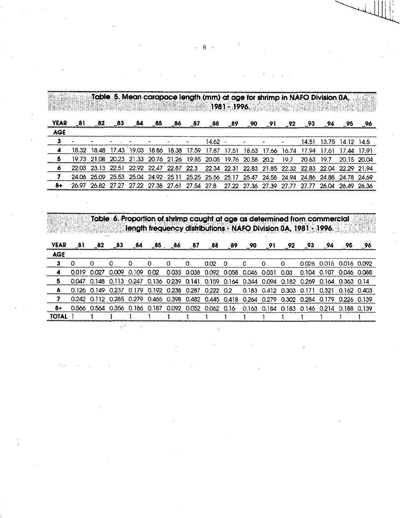## **Table 5. Mean carapace length (mm) atage for shrimp in NAFO Division OA, 1981 - 1996.,**

| <b>YEAR</b> |         | -83                                                                  | - 84  | -65 | _86 | 87                      | 88      | $-89$  | 90                            | 91 | - 92 | - 93 - | 94      |                                                                                                 |  |
|-------------|---------|----------------------------------------------------------------------|-------|-----|-----|-------------------------|---------|--------|-------------------------------|----|------|--------|---------|-------------------------------------------------------------------------------------------------|--|
| AGF         |         |                                                                      |       |     |     |                         |         |        |                               |    |      |        |         |                                                                                                 |  |
| з           |         |                                                                      |       |     |     |                         | 14.62 - |        |                               |    |      | 14.51  | 13.75 - | 1412                                                                                            |  |
|             |         | 18.48 17.43                                                          | 19.03 |     |     | 18.86 18.38 17.59 17.87 |         | -17.51 | 18.63 17.66 16.74 17.94       |    |      |        | 17.61.  | 17.44.17.91                                                                                     |  |
|             | 21 Q.S. | 20.23 21.33 20.76 21.26 19.85 20.05 19.76 20.58 20.2 19.7 20.63 19.7 |       |     |     |                         |         |        |                               |    |      |        |         | 20.15.2004                                                                                      |  |
|             |         |                                                                      |       |     |     |                         |         |        |                               |    |      |        |         | 22.03 23.13 22.51 22.92 22.47 22.87 22.3 22.34 22.31 22.83 21.85 22.32 22.83 22.04 22.29 21.94  |  |
|             |         |                                                                      |       |     |     |                         |         |        |                               |    |      |        |         | 24.06 25.09 25.53 25.04 24.92 25.11 25.25 25.56 25.17 25.47 24.58 24.94 24.86 24.88 24.78 24.69 |  |
|             |         | 26.82 27.27 27.22 27.38 27.61 27.54 27.8                             |       |     |     |                         |         |        | 27.22 27.36 27.39 27.77 27.77 |    |      |        |         | 26.04 26.49                                                                                     |  |

**Table 6. Proportion of shrimp caught.at age as determined from commercial length frequency distributions - NAFO Division OA, 1981 - 1996.** 

| <b>YEAR</b> | 81 | -82        | -83 | 84                                                                                              | .85._86 | 87                     | - 88 | - 89 | - 90                                | 91 | .92  | - 93                                | -94                     | 95          |  |
|-------------|----|------------|-----|-------------------------------------------------------------------------------------------------|---------|------------------------|------|------|-------------------------------------|----|------|-------------------------------------|-------------------------|-------------|--|
| <b>AGE</b>  |    |            |     |                                                                                                 |         |                        |      |      |                                     |    |      |                                     |                         |             |  |
|             |    |            |     |                                                                                                 |         |                        | nm.  | n    |                                     |    |      |                                     | 0.026 0.015 0.016 0.092 |             |  |
|             |    | <u>ממח</u> |     | $0.009$ $0.109$ $0.02$                                                                          |         |                        |      |      | 0.033 0.038 0.092 0.058 0.046 0.031 |    | 0.03 | 0.104 0.107                         |                         | 0.046 0.088 |  |
|             |    |            |     | 0.047 0.148 0.113 0.247 0.136 0.239 0.141 0.159 0.164 0.344 0.094 0.182 0.269 0.164 0.363 0.14  |         |                        |      |      |                                     |    |      |                                     |                         |             |  |
|             |    |            |     | 0.126 0.149 0.237 0.179 0.192 0.238 0.287 0.222 0.2 0.183 0.412 0.303 0.171 0.321 0.162 0.403   |         |                        |      |      |                                     |    |      |                                     |                         |             |  |
|             |    |            |     | 0.242 0.112 0.285 0.279 0.465 0.398 0.482 0.445 0.418 0.264 0.279 0.302 0.284 0.179 0.226 0.139 |         |                        |      |      |                                     |    |      |                                     |                         |             |  |
|             |    |            |     | 0.566 0.564 0.356 0.186 0.187                                                                   |         | 0.092 0.052 0.062 0.16 |      |      | 0.163                               |    |      | 0.184 0.183 0.146 0.214 0.188 0.139 |                         |             |  |
|             |    |            |     |                                                                                                 |         |                        |      |      |                                     |    |      |                                     |                         |             |  |

- 8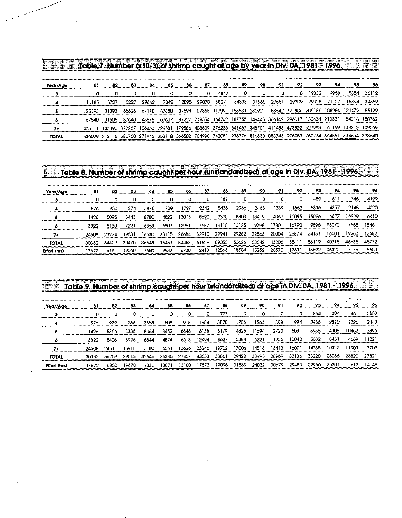| Year/Age     | 81     |       | 83                          | 84    | 85    | 86    |       | 88            | 89            | 90    |       |       |                                                               |       |                                                                                                                 |        |
|--------------|--------|-------|-----------------------------|-------|-------|-------|-------|---------------|---------------|-------|-------|-------|---------------------------------------------------------------|-------|-----------------------------------------------------------------------------------------------------------------|--------|
|              |        |       |                             |       |       |       |       | 14842         |               |       |       |       | 19832.                                                        | 9968  | 5354                                                                                                            | 36112  |
|              | 10185  | 5727  | 5227                        | 29642 | 7042  | 12095 | 29070 | 68271         | 54333         | 37565 | 27551 | 29309 | 79328                                                         | 71107 |                                                                                                                 | 34569  |
|              |        | 31393 | 65626                       | 67170 | 47888 | 87594 |       | 107865 117991 | 153631 280921 |       |       |       | 83542 177805 205186 108986                                    |       | 121479                                                                                                          | 55129  |
|              | 67540. |       | 31605 37640                 | 48678 | 67607 |       |       |               |               |       |       |       | 87227 219554 164742 187355 149443 366162 296017 130434 213321 |       | 54214                                                                                                           | 158762 |
|              |        |       | 143390 372267 126453 229581 |       |       |       |       |               |               |       |       |       |                                                               |       | 179586 408509 376235 541457 348701 411488 473822 327993 261169 138212 109069                                    |        |
| <b>TOTAL</b> |        |       |                             |       |       |       |       |               |               |       |       |       |                                                               |       | 536029 212115 580760 271943 352118 366502 764998 742081 936776 816630 888743 976953 762774 664551 334654 393640 |        |

| Hendels in the set of the | Table 8. Number of shrimp caught per hour (unstandardized) at age in Div. 0A, 1981 |       |       |       |       |       |       |       |       |       |       |       |       |       |       |       |
|---------------------------|------------------------------------------------------------------------------------|-------|-------|-------|-------|-------|-------|-------|-------|-------|-------|-------|-------|-------|-------|-------|
| Year/Age                  | 81                                                                                 | 82    | 83    | 84    | 85    | 86    | 87    | 88    | 89    | 90    | 91    | 92    | 93    | 94    | 95    | 96    |
|                           |                                                                                    | o     | 0     | a     | o     | o     | 0     | 1181  |       |       |       | n     | 1459  | 61.   | 746   | 4199  |
|                           | 576                                                                                | 930   | 274   | 3875  | 709   | 1797  | 2342  | 5433  | 2936  | 2463  | 1339  | 1662  | 5836  | 4357  | 2145  | 4020  |
|                           | 1426                                                                               | 5095  | 3443  | 8780  | 4822  | 13015 | 8690  | 9390  | 8303  | 18419 | 4061  | 10065 | 15096 | 6677  | 16929 | 6410  |
|                           | 3822                                                                               | 5130  | 7221  | 6363  | 6807  | 12961 | 7687  | 13110 | 10125 | 9798  | 17801 | 16790 | 9596  | 13070 | 7555  | 18461 |
| 74                        | 24508                                                                              | 23274 | 19531 | 16530 | 23115 | 26684 | 32910 | 29941 | 29262 | 22863 | 20004 | 26874 | 24131 | 16001 | 19260 | 12682 |
| <b>TOTAL</b>              | 30332                                                                              | 34429 | 30470 | 35548 | 35453 | 54458 | 61629 | 59055 | 50626 | 53542 | 43206 | 55411 | 56119 | 40715 | 46635 | 45772 |
| Effort (hrs)              | 17672                                                                              | 6161  | 19060 | 7650  | 9932  | 6730  | 12413 | 2566  | 18504 | 15252 | 20570 | 17631 | 13592 | 16322 | 7176  | 86.0  |

| البارقين ويواديهم ويواردونه والمحارب والمواردة والكرارا ومعاربتيه الكارية والأمالة<br>والمتعاط والمواري | Table 9. Number of shrimp caught per hour (standardized) at age in Div. 0A, 1981. 1996. |       |       |       |       | الرابط بالتابع الشرار برقار وروبا والمقارب والتاريكان والمتكنون والربو |       |       |       |       |       |       |       |       |       |       |
|---------------------------------------------------------------------------------------------------------|-----------------------------------------------------------------------------------------|-------|-------|-------|-------|------------------------------------------------------------------------|-------|-------|-------|-------|-------|-------|-------|-------|-------|-------|
| Year/Age                                                                                                | 81                                                                                      | 82    | 83    | 84    | 85    | 86                                                                     | 87    | 88    | 89    | 90    | 91    | 92    | 93    | 94    | 95    | 96    |
|                                                                                                         | O                                                                                       | 0     | O     |       |       |                                                                        |       | 777   | 0     | n     | 0     |       | 864   | 394   | 461   | 2552  |
|                                                                                                         | 576                                                                                     | 979   | 266   | 3558  | 508   | 918                                                                    | 1654  | 3575  | 1706  | 1564  | 898   | 994   | 3456  | 2810  | 1326  | 2443  |
|                                                                                                         | 1426                                                                                    | 5366  | 3335  | 8064  | 3452  | 6646                                                                   | 6138  | 6179  | 4825  | 11694 | 2723  | 6031  | 8938  | 4308  | 10462 | 3896  |
|                                                                                                         | 3822                                                                                    | 5403  | 6995  | 5844  | 4874  | 6618                                                                   | 12494 | 8627  | 5884  | 6221  | 11935 | 10040 | 5682  | 8431  | 4669  | 1122' |
| 7.                                                                                                      | 24508                                                                                   | 2451  | 18918 | 15180 | 16551 | 13626                                                                  | 23246 | 19702 | 17006 | 14516 | 13413 | 16071 | 14288 | 10322 | 1903  | 7709  |
| <b>TOTAL</b>                                                                                            | 30332                                                                                   | 36259 | 29513 | 32646 | 25385 | 27807                                                                  | 43533 | 38861 | 29422 | 33995 | 28969 | 33136 | 33228 | 26266 | 28820 | 27821 |
| <b>Effort (hrs)</b>                                                                                     | 17672                                                                                   | 5850  | 19678 | 8330  | 13871 | 13180                                                                  | 17573 | 19096 | 31839 | 24022 | 30679 | 29483 | 22956 | 25301 | 1612  | 14149 |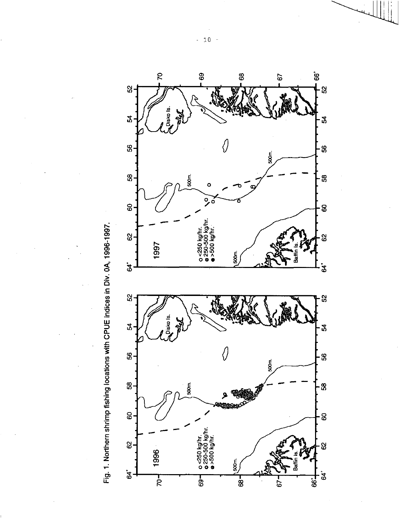



 $-10$  $\sim$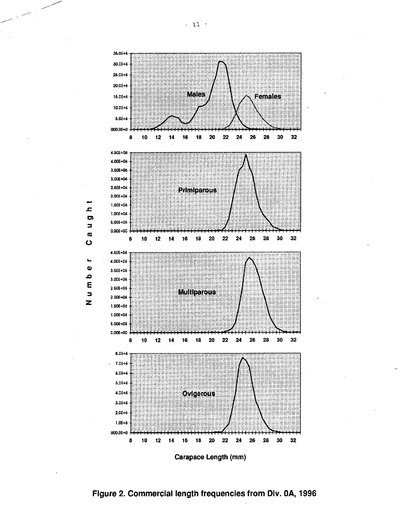

ᆂ **o**  $\blacksquare$  $\sigma$ 

 $\bullet$ 

Ł,  $\boldsymbol{\omega}$  $\Omega$ E

 $\Box$ z

Carapace Length (mm)

**Figure 2. Commercial length frequencies from Div. OA, 1996**